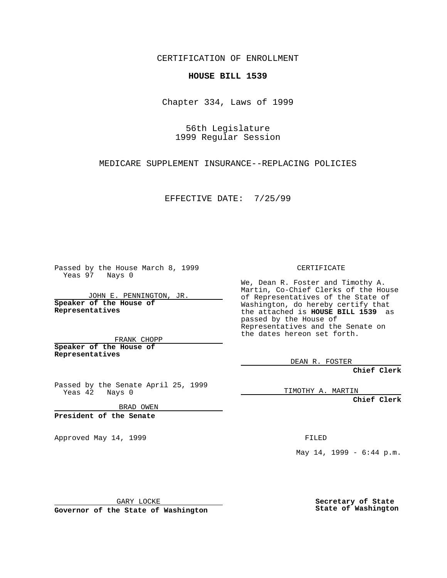CERTIFICATION OF ENROLLMENT

## **HOUSE BILL 1539**

Chapter 334, Laws of 1999

56th Legislature 1999 Regular Session

MEDICARE SUPPLEMENT INSURANCE--REPLACING POLICIES

EFFECTIVE DATE: 7/25/99

Passed by the House March 8, 1999 Yeas 97 Nays 0

JOHN E. PENNINGTON, JR. **Speaker of the House of Representatives**

FRANK CHOPP **Speaker of the House of Representatives**

Passed by the Senate April 25, 1999 Yeas 42 Nays 0

BRAD OWEN

**President of the Senate**

Approved May 14, 1999 **FILED** 

CERTIFICATE

We, Dean R. Foster and Timothy A. Martin, Co-Chief Clerks of the House of Representatives of the State of Washington, do hereby certify that the attached is **HOUSE BILL 1539** as passed by the House of Representatives and the Senate on the dates hereon set forth.

DEAN R. FOSTER

**Chief Clerk**

TIMOTHY A. MARTIN

**Chief Clerk**

May 14, 1999 - 6:44 p.m.

GARY LOCKE

**Governor of the State of Washington**

**Secretary of State State of Washington**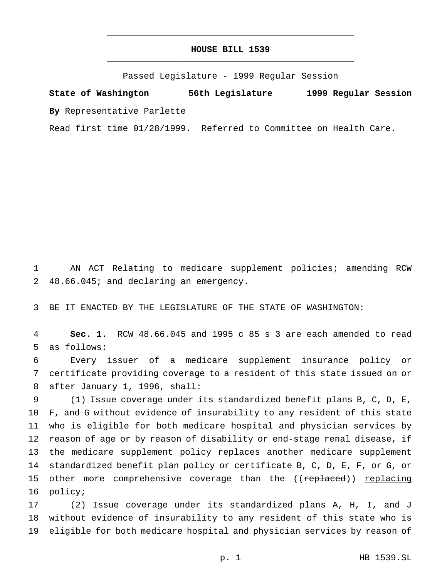## **HOUSE BILL 1539** \_\_\_\_\_\_\_\_\_\_\_\_\_\_\_\_\_\_\_\_\_\_\_\_\_\_\_\_\_\_\_\_\_\_\_\_\_\_\_\_\_\_\_\_\_\_\_

\_\_\_\_\_\_\_\_\_\_\_\_\_\_\_\_\_\_\_\_\_\_\_\_\_\_\_\_\_\_\_\_\_\_\_\_\_\_\_\_\_\_\_\_\_\_\_

Passed Legislature - 1999 Regular Session

**State of Washington 56th Legislature 1999 Regular Session By** Representative Parlette

Read first time 01/28/1999. Referred to Committee on Health Care.

 AN ACT Relating to medicare supplement policies; amending RCW 48.66.045; and declaring an emergency.

BE IT ENACTED BY THE LEGISLATURE OF THE STATE OF WASHINGTON:

 **Sec. 1.** RCW 48.66.045 and 1995 c 85 s 3 are each amended to read as follows:

 Every issuer of a medicare supplement insurance policy or certificate providing coverage to a resident of this state issued on or after January 1, 1996, shall:

 (1) Issue coverage under its standardized benefit plans B, C, D, E, F, and G without evidence of insurability to any resident of this state who is eligible for both medicare hospital and physician services by reason of age or by reason of disability or end-stage renal disease, if the medicare supplement policy replaces another medicare supplement standardized benefit plan policy or certificate B, C, D, E, F, or G, or 15 other more comprehensive coverage than the ((replaced)) replacing policy;

 (2) Issue coverage under its standardized plans A, H, I, and J without evidence of insurability to any resident of this state who is eligible for both medicare hospital and physician services by reason of